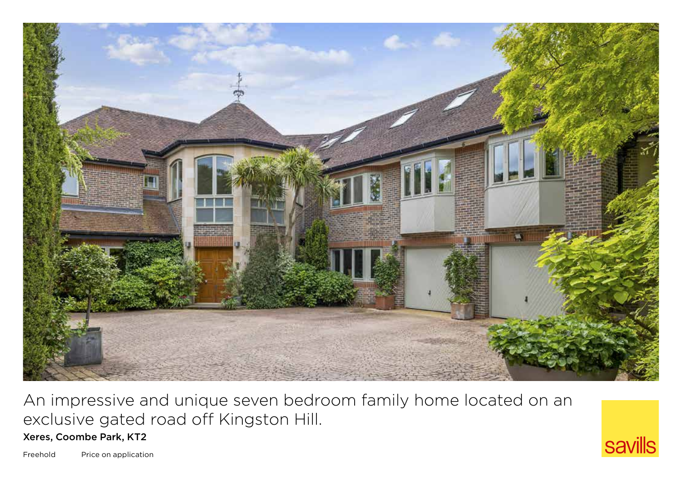

An impressive and unique seven bedroom family home located on an exclusive gated road off Kingston Hill.

Xeres, Coombe Park, KT2

Freehold Price on application

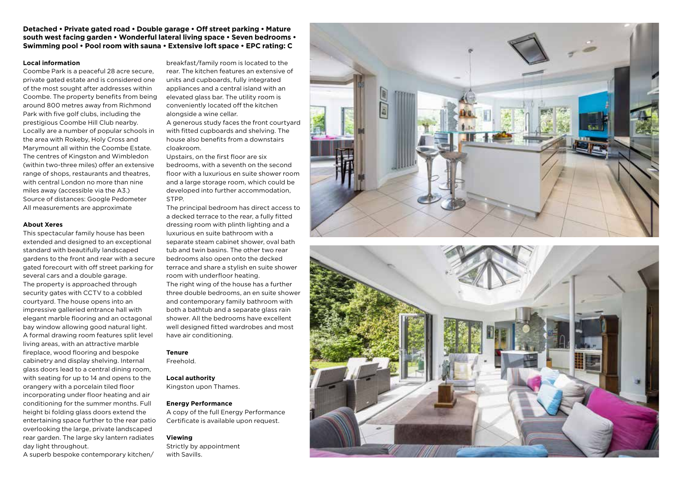**Detached • Private gated road • Double garage • Off street parking • Mature south west facing garden • Wonderful lateral living space • Seven bedrooms • Swimming pool • Pool room with sauna • Extensive loft space • EPC rating: C**

## **Local information**

Coombe Park is a peaceful 28 acre secure, private gated estate and is considered one of the most sought after addresses within Coombe. The property benefits from being around 800 metres away from Richmond Park with five golf clubs, including the prestigious Coombe Hill Club nearby. Locally are a number of popular schools in the area with Rokeby, Holy Cross and Marymount all within the Coombe Estate. The centres of Kingston and Wimbledon (within two-three miles) offer an extensive range of shops, restaurants and theatres, with central London no more than nine miles away (accessible via the A3.) Source of distances: Google Pedometer All measurements are approximate

## **About Xeres**

This spectacular family house has been extended and designed to an exceptional standard with beautifully landscaped gardens to the front and rear with a secure gated forecourt with off street parking for several cars and a double garage. The property is approached through security gates with CCTV to a cobbled courtyard. The house opens into an impressive galleried entrance hall with elegant marble flooring and an octagonal bay window allowing good natural light. A formal drawing room features split level living areas, with an attractive marble fireplace, wood flooring and bespoke cabinetry and display shelving. Internal glass doors lead to a central dining room, with seating for up to 14 and opens to the orangery with a porcelain tiled floor incorporating under floor heating and air conditioning for the summer months. Full height bi folding glass doors extend the entertaining space further to the rear patio overlooking the large, private landscaped rear garden. The large sky lantern radiates day light throughout.

A superb bespoke contemporary kitchen/

breakfast/family room is located to the rear. The kitchen features an extensive of units and cupboards, fully integrated appliances and a central island with an elevated glass bar. The utility room is conveniently located off the kitchen alongside a wine cellar.

A generous study faces the front courtyard with fitted cupboards and shelving. The house also benefits from a downstairs cloakroom.

Upstairs, on the first floor are six bedrooms, with a seventh on the second floor with a luxurious en suite shower room and a large storage room, which could be developed into further accommodation, STPP

The principal bedroom has direct access to a decked terrace to the rear, a fully fitted dressing room with plinth lighting and a luxurious en suite bathroom with a separate steam cabinet shower, oval bath tub and twin basins. The other two rear bedrooms also open onto the decked terrace and share a stylish en suite shower room with underfloor heating. The right wing of the house has a further three double bedrooms, an en suite shower and contemporary family bathroom with both a bathtub and a separate glass rain shower. All the bedrooms have excellent well designed fitted wardrobes and most have air conditioning.

**Tenure** Freehold.

**Local authority** Kingston upon Thames.

## **Energy Performance**

A copy of the full Energy Performance Certificate is available upon request.

## **Viewing**

Strictly by appointment with Savills.



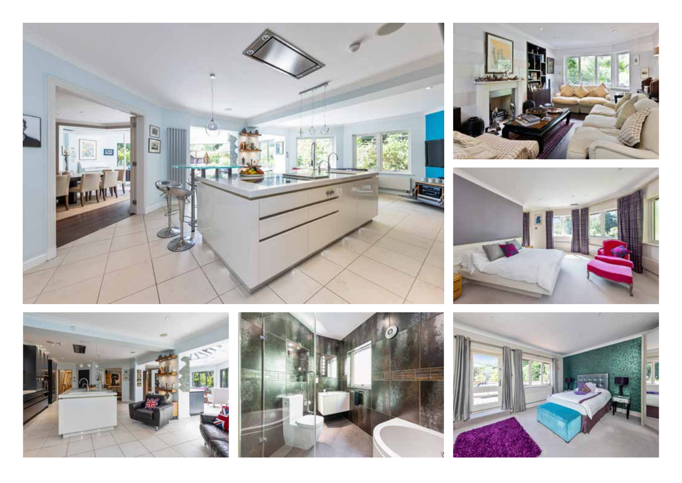









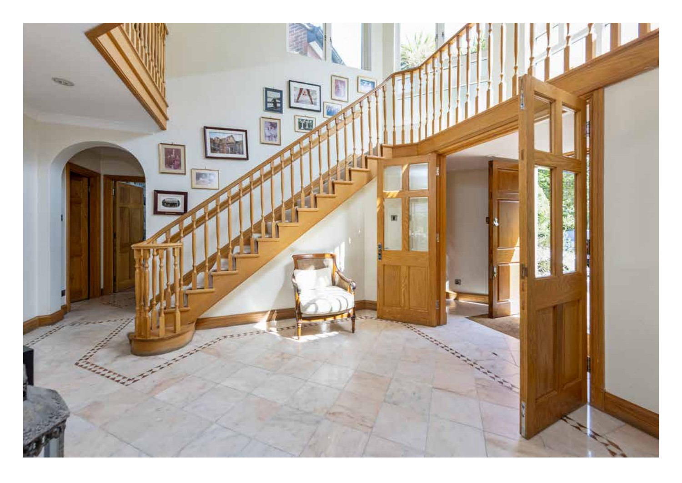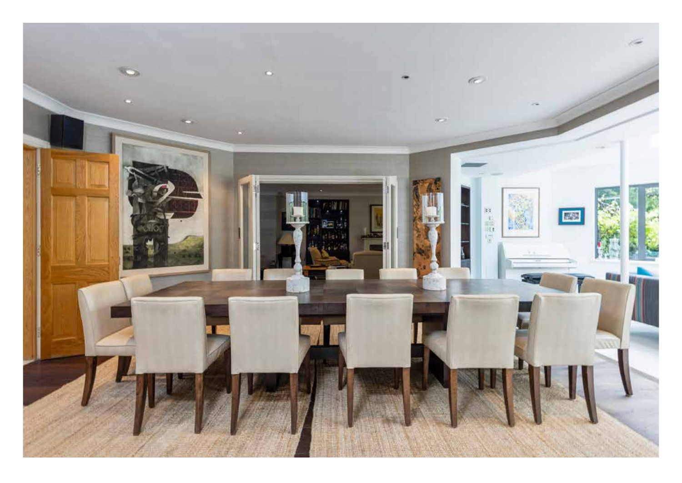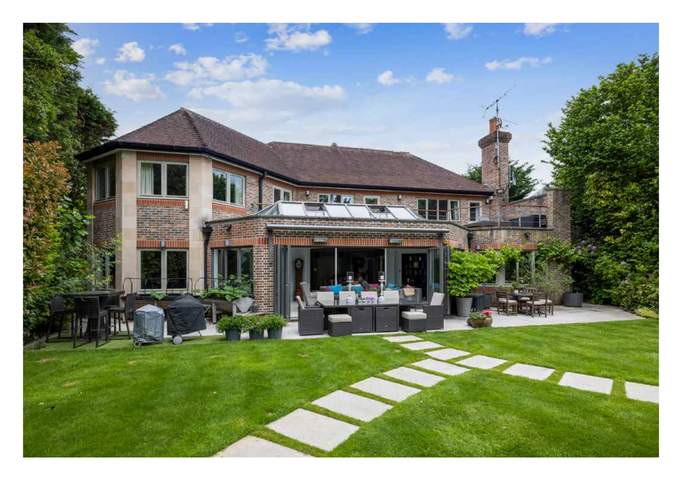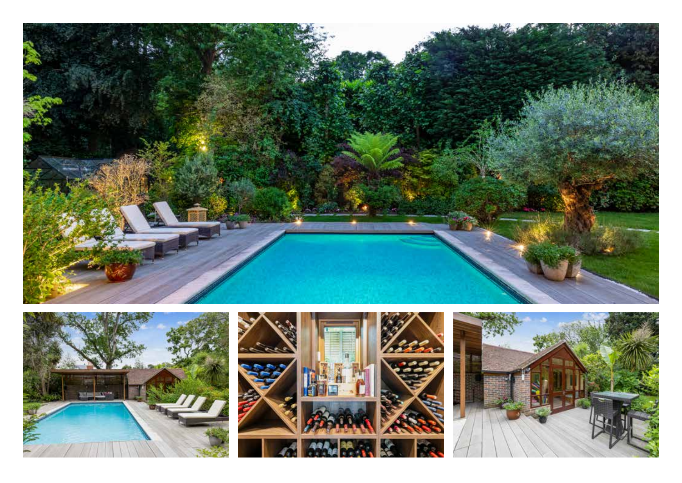